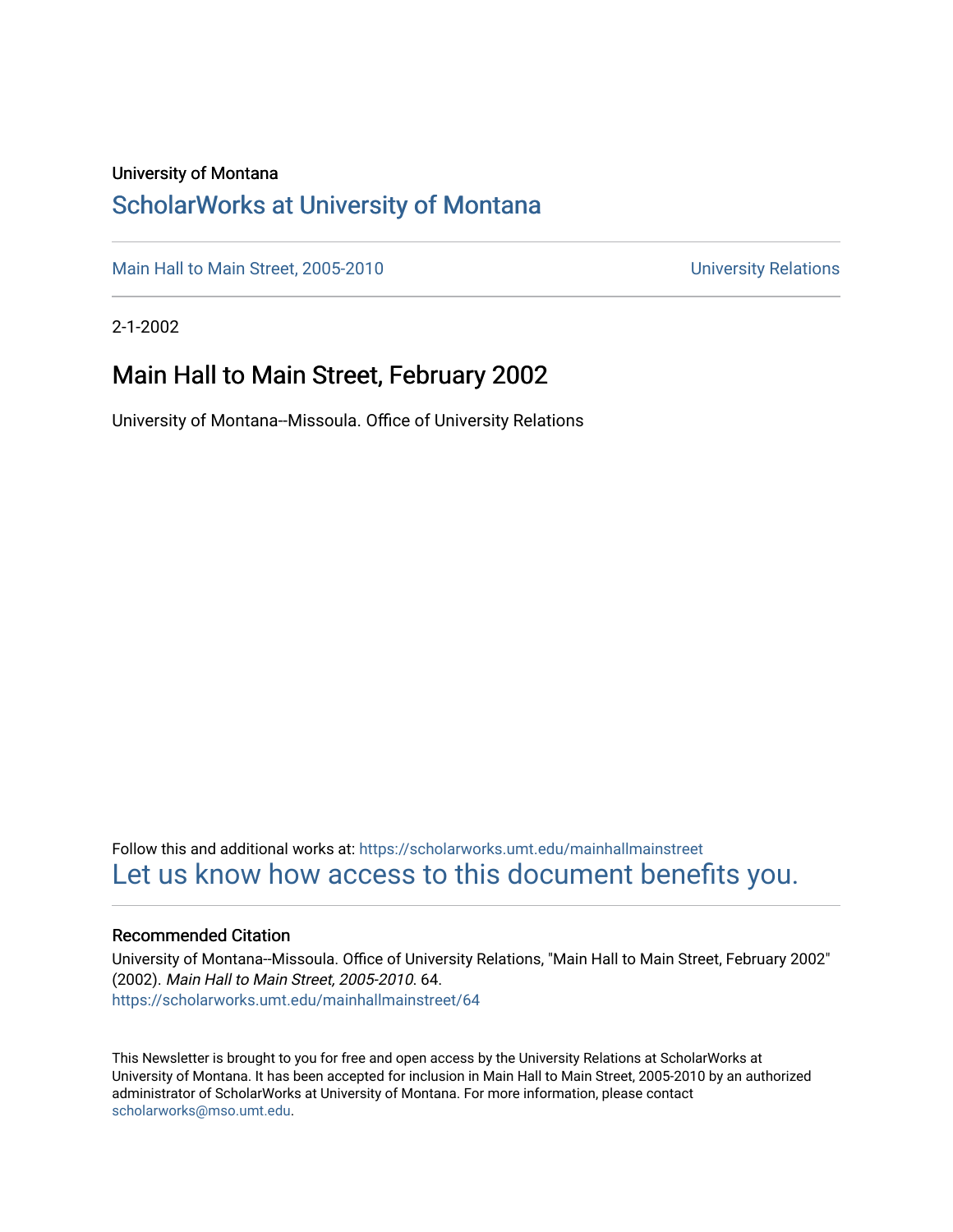### University of Montana

### [ScholarWorks at University of Montana](https://scholarworks.umt.edu/)

[Main Hall to Main Street, 2005-2010](https://scholarworks.umt.edu/mainhallmainstreet) Main Hall to Main Street, 2005-2010

2-1-2002

### Main Hall to Main Street, February 2002

University of Montana--Missoula. Office of University Relations

Follow this and additional works at: [https://scholarworks.umt.edu/mainhallmainstreet](https://scholarworks.umt.edu/mainhallmainstreet?utm_source=scholarworks.umt.edu%2Fmainhallmainstreet%2F64&utm_medium=PDF&utm_campaign=PDFCoverPages) [Let us know how access to this document benefits you.](https://goo.gl/forms/s2rGfXOLzz71qgsB2) 

### Recommended Citation

University of Montana--Missoula. Office of University Relations, "Main Hall to Main Street, February 2002" (2002). Main Hall to Main Street, 2005-2010. 64. [https://scholarworks.umt.edu/mainhallmainstreet/64](https://scholarworks.umt.edu/mainhallmainstreet/64?utm_source=scholarworks.umt.edu%2Fmainhallmainstreet%2F64&utm_medium=PDF&utm_campaign=PDFCoverPages) 

This Newsletter is brought to you for free and open access by the University Relations at ScholarWorks at University of Montana. It has been accepted for inclusion in Main Hall to Main Street, 2005-2010 by an authorized administrator of ScholarWorks at University of Montana. For more information, please contact [scholarworks@mso.umt.edu.](mailto:scholarworks@mso.umt.edu)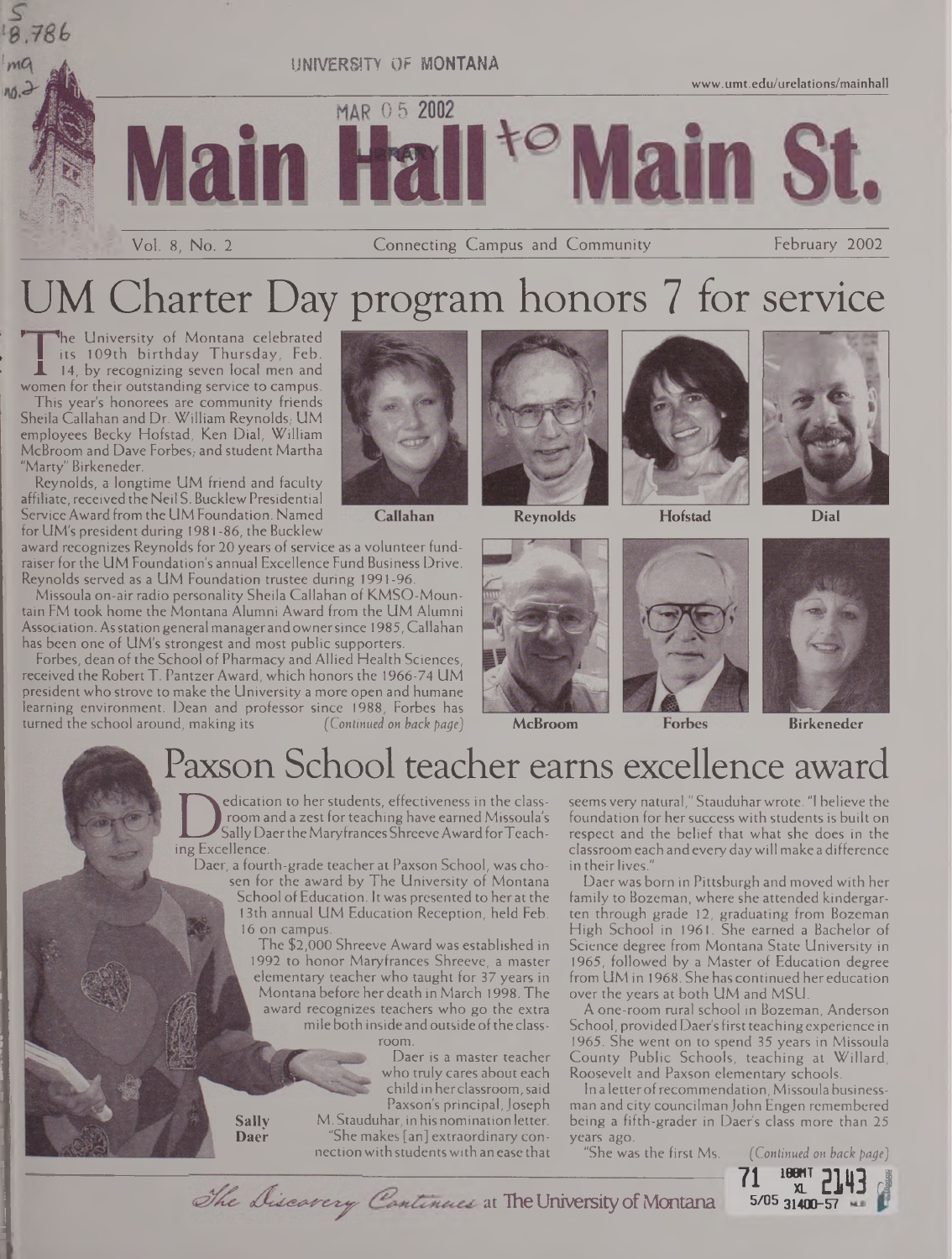

# UM Charter Day program honors 7 for service

he University of Montana celebrated its 109th birthday Thursday, Feb.  $\perp$  14, by recognizing seven local men and women for their outstanding service to campus.

This year's honorees are community friends Sheila Callahan and Dr. William Reynolds, UM employees Becky Hofstad, Ken Dial, William McBroom and Dave Forbes; and student Martha "Marty" Birkeneder.

Reynolds, a longtime UM friend and faculty affiliate, received the Neil S. Bucklew Presidential ServiceAward from the UM Foundation. Named for UM's president during 1981 -86, the Bucklew

award recognizes Reynolds for 20 years of service as a volunteer fundraiser for the UM Foundation's annual Excellence Fund Business Drive. Reynolds served as a UM Foundation trustee during 1991-96.

Missoula on-air radio personality Sheila Callahan of KMSO-Mountain FM took home the Montana Alumni Award from the UM Alumni Association. Asstation general managerand ownersince 1985, Callahan has been one of UM's strongest and most public supporters.

Forbes, dean of the School of Pharmacy and Allied Health Sciences, received the RobertT. PantzerAward, which honors the 1966-74 UM president who strove to make the University a more open and humane learning environment. Dean and professor since 1988, Forbes has<br>turned the school around, making its [Continued on back page] turned the school around, making its *(Continued on back page)* **McBroom Birkeneder**



Callahan







**Reynolds Hofstad Dial**



## Paxson School teacher earns excellence award

Sally Daer the N<br>
Sally Daer the N<br>
Daer a fourth-grad edication to her students, effectiveness in the classroom and a zest for teaching have earned Missoula's Sally Daer the Maryfrances Shreeve Award for Teach-

Daer, a fourth-grade teacher at Paxson School, was chosen for the award by The University of Montana School ofEducation. Itwas presented to her at the 13th annual UM Education Reception, held Feb. 16 on campus.

The \$2,000 Shreeve Award was established in 1992 to honor Maryfrances Shreeve, a master elementary teacher who taught for 37 years in Montana before her death in March 1998. The award recognizes teachers who go the extra mile both inside and outside of the classroom.

> Daer is a master teacher who truly cares about each child in herclassroom,said Paxson's principal,Joseph M. Stauduhar, in his nomination letter. "She makes [an] extraordinary connectionwith studentswith an ease that

The Discovery Continues at The University of Montana

seems very natural," Stauduhar wrote. "I believe the foundation for her success with students is built on respect and the belief that what she does in the classroom each andevery daywill make a difference in their lives."

Daer was born in Pittsburgh and moved with her family to Bozeman, where she attended kindergarten through grade 12, graduating from Bozeman High School in 1961. She earned a Bachelor of Science degree from Montana State University in 1965, followed by a Master of Education degree from UM in 1968. She has continued hereducation over the years at both UM and MSU.

A one-room rural school in Bozeman, Anderson School, provided Daer's first teaching experience in 1965. She went on to spend 35 years in Missoula County Public Schools, teaching at Willard, Roosevelt and Paxson elementary schools.

In a letter of recommendation, Missoula businessman and city councilman John Engen remembered being a fifth-grader in Daer's class more than 25

years ago.<br>"She was the first Ms.



**Sally Daer**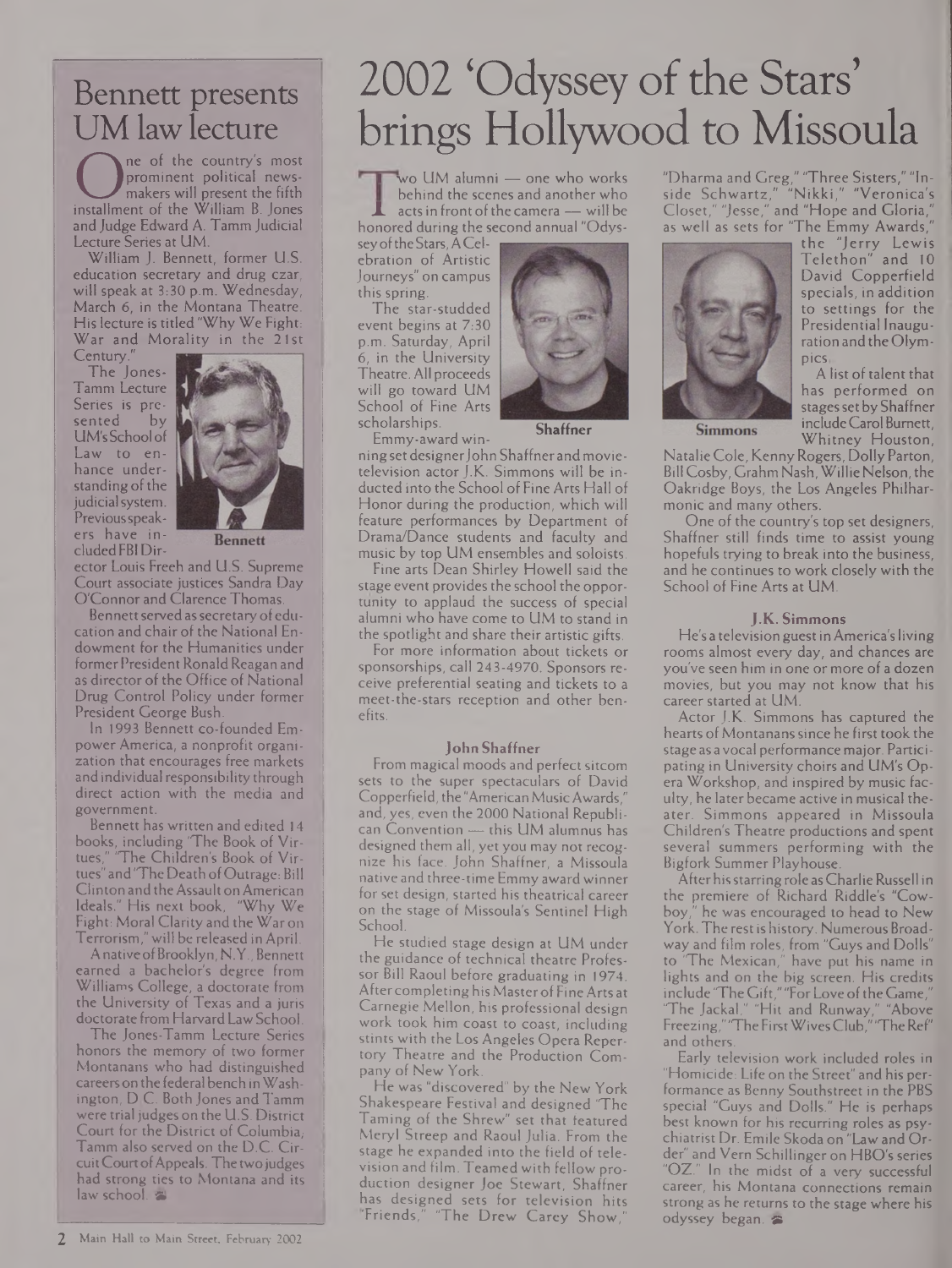## Bennett presents UM law lecture

Incorporate Country's most<br>
prominent political news-<br>
makers will present the fifth<br>
installment of the William B. Jones<br>
and Judge Edward A. Tamm Judicial ne of the country's most prominent political newsmakers will present the fifth and Judge Edward A. Tamm Judicial Lecture Series at UM.

William J. Bennett, former U.S. education secretary and drug czar, will speak at 3:30 p.m. Wednesday, March 6, in the Montana Theatre. His lecture is titled "Why We Fight: War and Morality in the 21st

Century.

The Jones-Tamm Lecture Series is pre-<br>sented by sented UM'sSchool of Law to enhance understanding of the judicial system. Previous speakers have included FBI Dir-



**Bennett** 

ector Louis Freeh and U.S. Supreme Court associate justices Sandra Day O'Connor and Clarence Thomas.

Bennett served as secretary of education and chair of the National Endowment for the Humanities under former President Ronald Reagan and as director of the Office of National Drug Control Policy under former President George Bush.

In 1993 Bennett co-founded Empower America, a nonprofit organization that encourages free markets and individual responsibility through direct action with the media and government.

Bennett has written and edited 14 books, including 'The Book of Virtues," "The Children's Book of Virtues" and "The Death of Outrage: Bill Clinton and the Assault on American Ideals." His next book, "Why We Fight: Moral Clarity and the Waron Terrorism,"will be releasedin April.

AnativeofBrooklyn, N.Y., Bennett earned a bachelor's degree from Williams College, a doctorate from the University of Texas and a juris doctorate from Harvard Law School.

The Jones-Tamm Lecture Series honors the memory of two former Montanans who had distinguished careerson the federal bench inWashington, D C. Both Jones and Tamm were trial judges on the U.S. District Court for the District of Columbia, Tamm also served on the D.C. CircuitCourtofAppeals. Thetwojudges had strong ties to Montana and its  $law$  school.  $\approx$ 

# 2002 'Odyssey of the Stars' brings Hollywood to Missoula

wo UM alumni — one who works behind the scenes and another who acts in front of the camera — will be honored during the second annual "Odys-

seyoftheStars,ACelebration of Artistic Journeys" on campus this spring.

The star-studded event begins at 7:30 p.m. Saturday, April 6, in the University Theatre. All proceeds will go toward UM School of Fine Arts scholarships.



Emmy-award win-

**Shaffner**

ningsetdesignerJohn Shaffnerandmovietelevision actor J.K. Simmons will be inducted into the School of Fine Arts Hall of Honor during the production, which will feature performances by Department of Drama/Dance students and faculty and music by top UM ensembles and soloists.

Fine arts Dean Shirley Howell said the stage event provides the school the opportunity to applaud the success of special alumni who have come to UM to stand in the spotlight and share their artistic gifts.

For more information about tickets or sponsorships, call 243-4970. Sponsors receive preferential seating and tickets to a meet-the-stars reception and other benefits.

### **John Shaffner**

From magical moods and perfect sitcom sets to the super spectaculars of David Copperfield, the"AmericanMusicAwards," and, yes, even the 2000 National Republican Convention — this UM alumnus has designed them all, yet you may not recognize his face. John Shaffner, a Missoula native and three-time Emmy awardwinner for set design, started his theatrical career on the stage of Missoula's Sentinel High School.

He studied stage design at UM under the guidance of technical theatre Professor Bill Raoul before graduating in 1974. Aftercompletinghis MasterofFineArts at Carnegie Mellon, his professional design work took him coast to coast, including stints with the Los Angeles Opera Repertory Theatre and the Production Company of New York.

He was "discovered" by the New York Shakespeare Festival and designed 'The Taming of the Shrew" set that featured Meryl Streep and Raoul Julia. From the stage he expanded into the field of television and film. Teamed with fellow production designer Joe Stewart, Shaffner has designed sets for television hits 'Friends," "The Drew Carey Show,

"Dharma and Greg," 'Three Sisters," "Inside Schwartz," "Nikki," "Veronica's Closet," "Jesse," and "Hope and Gloria," as well as sets for "The Emmy Awards,"



the "Jerry Lewis Telethon" and 10 David Copperfield specials, in addition to settings for the Presidential Inauguration and the Olympics

A list of talent that has performed on stages set by Shaffner includeCarolBurnett, Whitney Houston,

**Simmons** 

NatalieCole, KennyRogers, DollyParton, Bill Cosby, Grahm Nash, Willie Nelson, the Oakridge Boys, the Los Angeles Philharmonic and many others.

One of the country's top set designers, Shaffner still finds time to assist young hopefuls trying to break into the business, and he continues to work closely with the School of Fine Arts at UM.

#### **J.K. Simmons**

He's a television guest in America's living rooms almost every day, and chances are you've seen him in one or more of a dozen movies, but you may not know that his career started at UM.

Actor J.K. Simmons has captured the hearts of Montanans since he first took the stage as avocal performancemajor. Participating in University choirs and UM's Opera Workshop, and inspired by music faculty, he later became active in musical theater. Simmons appeared in Missoula Children's Theatre productions and spent several summers performing with the Bigfork Summer Playhouse.

Afterhisstarringrole asCharlieRussell in the premiere of Richard Riddle's "Cowboy," he was encouraged to head to New York. The rest is history. Numerous Broadway and film roles, from "Guys and Dolls" to 'The Mexican," have put his name in lights and on the big screen. His credits include "The Gift," "For Love of the Game," 'The Jackal," "Hit and Runway," "Above Freezing," "TheFirstWivesClub,""TheRef' and others.

Early television work included roles in "Homicide: Life on the Street" and his performance as Benny Southstreet in the PBS special "Guys and Dolls." He is perhaps best known for his recurring roles as psychiatrist Dr. Emile Skoda on "Law and Order" and Vem Schillinger on HBO's series "OZ." In the midst of a very successful career, his Montana connections remain strong as he returns to the stage where his odyssey began.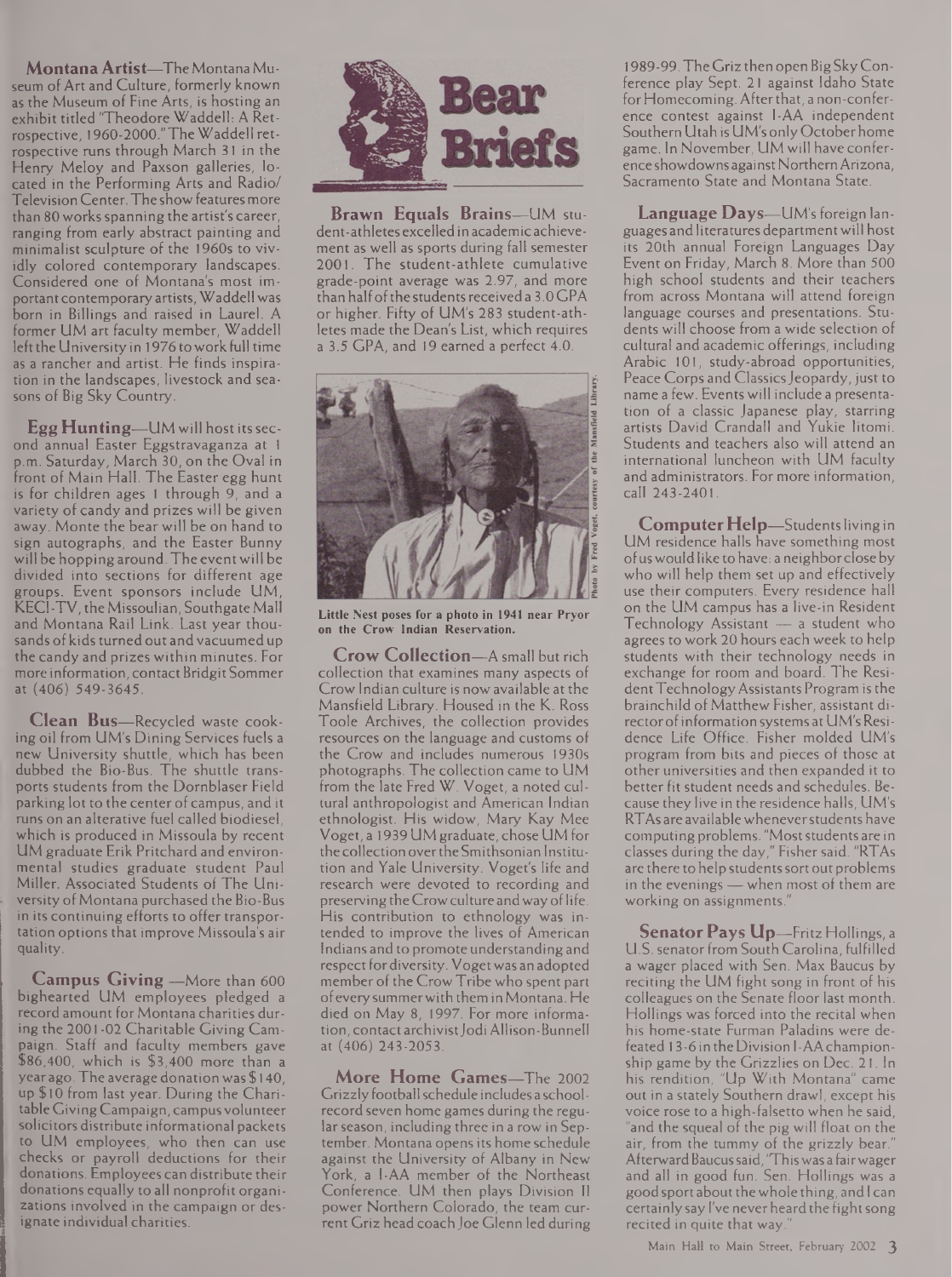**MontanaArtist—**TheMontanaMuseum of Art and Culture, formerly known as the Museum of Fine Arts, is hosting an exhibit titled 'Theodore Waddell: A Retrospective, 1960-2000."TheWaddell retrospective runs through March 31 in the Henry Meloy and Paxson galleries, located in the Performing Arts and Radio/ TelevisionCenter.The show features more than 80 works spanning the artist's career, ranging from early abstract painting and minimalist sculpture of the 1960s to vividly colored contemporary landscapes. Considered one of Montana's most important contemporary artists, Waddell was born in Billings and raised in Laurel. A former UM art faculty member, Waddell left the University in 1976 to work full time as a rancher and artist. He finds inspiration in the landscapes, livestock and seasons of Big Sky Country.

**Egg Hunting—**UM will host itssecond annual Easter Eggstravaganza at <sup>1</sup> p.m. Saturday, March 30, on the Oval in front of Main Hall. The Easter egg hunt is for children ages <sup>1</sup> through 9, and a variety of candy and prizes will be given away. Monte the bear will be on hand to sign autographs, and the Easter Bunny will be hopping around. The event will be divided into sections for different age groups. Event sponsors include UM, KECI-TV, the Missoulian, Southgate Mall and Montana Rail Link. Last year thousands of kids turned out and vacuumed up the candy and prizes within minutes. For more information, contact Bridgit Sommer at(406) 549-3645.

**Clean Bus—**Recycled waste cooking oil from UM's Dining Services fuels a new University shuttle, which has been dubbed the Bio-Bus. The shuttle transports students from the Dornblaser Field parking lot to the center of campus, and it runs on an alterative fuel called biodiesel, which is produced in Missoula by recent UM graduate Erik Pritchard and environmental studies graduate student Paul Miller. Associated Students of The University of Montana purchased the Bio-Bus in its continuing efforts to offer transportation options that improve Missoula's air quality.

**Campus Giving —**More than 600 bighearted UM employees pledged a record amount for Montana charities during the 2001-02 Charitable Giving Campaign. Staff and faculty members gave \$86,400, which is \$3,400 more than a yearago.The average donation was \$ 140, up \$10 from last year. During the CharitableGivingCampaign, campusvolunteer solicitors distribute informational packets to UM employees, who then can use checks or payroll deductions for their donations. Employees can distribute their donations equally to all nonprofit organizations involved in the campaign or designate individual charities.



**Brawn Equals Brains—**UM student-athletes excelledin academic achievement as well as sports during fall semester 2001. The student-athlete cumulative grade-point average was 2.97, and more than half of the students received a 3.0 GPA or higher. Fifty of UM's 283 student-athletes made the Dean's List, which requires a 3.5 GPA, and 19 earned a perfect 4.0.



**Little Nest poses for a photo in 1941 near Pryor on the Crow Indian Reservation.**

**Crow Collection—**A small but rich collection that examines many aspects of Crow Indian culture is now available at the Mansfield Library. Housed in the K. Ross Toole Archives, the collection provides resources on the language and customs of the Crow and includes numerous 1930s photographs. The collection came to UM from the late Fred W. Voget, a noted cultural anthropologist and American Indian ethnologist. His widow, Mary Kay Mee Voget, a 1939 UM graduate, chose UM for the collection overtheSmithsonian Institution and Yale University. Voget's life and research were devoted to recording and preserving the Crow culture and way of life. His contribution to ethnology was intended to improve the lives of American Indians and to promote understanding and respect for diversity. Voget was an adopted member of the Crow Tribe who spent part ofeverysummerwith them in Montana. He died on May 8, 1997. For more information, contact archivist Jodi Allison-Bunnell at (406) 243-2053.

**More Home Games—**The 2002 Grizzly footballschedule includes a schoolrecord seven home games during the regular season, including three in a row in September. Montana opens its home schedule against the University of Albany in New York, a I-AA member of the Northeast Conference. UM then plays Division II power Northern Colorado, the team current Griz head coach Joe Glenn led during

1989-99.The Griz then open BigSkyConference play Sept. 21 against Idaho State for Homecoming. After that, a non-conference contest against I-AA independent Southern Utah is UM's only Octoberhome game. In November, UM will have conference showdowns against Northern Arizona, Sacramento State and Montana State.

**Language Days—**UM's foreign languages and literatures departmentwill host its 20th annual Foreign Languages Day Event on Friday, March 8. More than 500 high school students and their teachers from across Montana will attend foreign language courses and presentations. Students will choose from a wide selection of cultural and academic offerings, including Arabic 101, study-abroad opportunities, Peace Corps and Classics Jeopardy, just to name a few. Events will include a presentation of a classic Japanese play, starring artists David Crandall and Yukie Iitomi. Students and teachers also will attend an international luncheon with UM faculty and administrators. For more information, call 243-2401.

**ComputerHelp—**Studentsliving in UM residence halls have something most ofuswould like to have: a neighborclose by who will help them set up and effectively use their computers. Every residence hall on the UM campus has a live-in Resident Technology Assistant — a student who agrees to work 20 hours each week to help students with their technology needs in exchange for room and board. The Resident Technology Assistants Program is the brainchild of Matthew Fisher, assistant director of information systems at UM's Residence Life Office. Fisher molded UM's program from bits and pieces of those at other universities and then expanded it to better fit student needs and schedules. Because they live in the residence halls, UM's RTAs are availablewheneverstudents have computing problems. "Most students are in classes during the day," Fisher said. "RTAs are there to help students sort out problems in the evenings — when most of them are working on assignments."

**SenatorPays Up—**Fritz Hollings, <sup>a</sup> U.S. senator from South Carolina, fulfilled a wager placed with Sen. Max Baucus by reciting the UM fight song in front of his colleagues on the Senate floor last month. Hollings was forced into the recital when his home-state Furman Paladins were defeated 13-6 in theDivision I-AAchampionship game by the Grizzlies on Dec. 21. In his rendition, "Up With Montana" came out in a stately Southern drawl, except his voice rose to a high-falsetto when he said, "and the squeal of the pig will float on the air, from the tummy of the grizzly bear.' AfterwardBaucussaid,'Thiswas a fairwager and all in good fun. Sen. Hollings was a good sport about the whole thing, and I can certainly say I've never heard the fight song recited in quite that way.

Main Hall to Main Street, February 2002 3